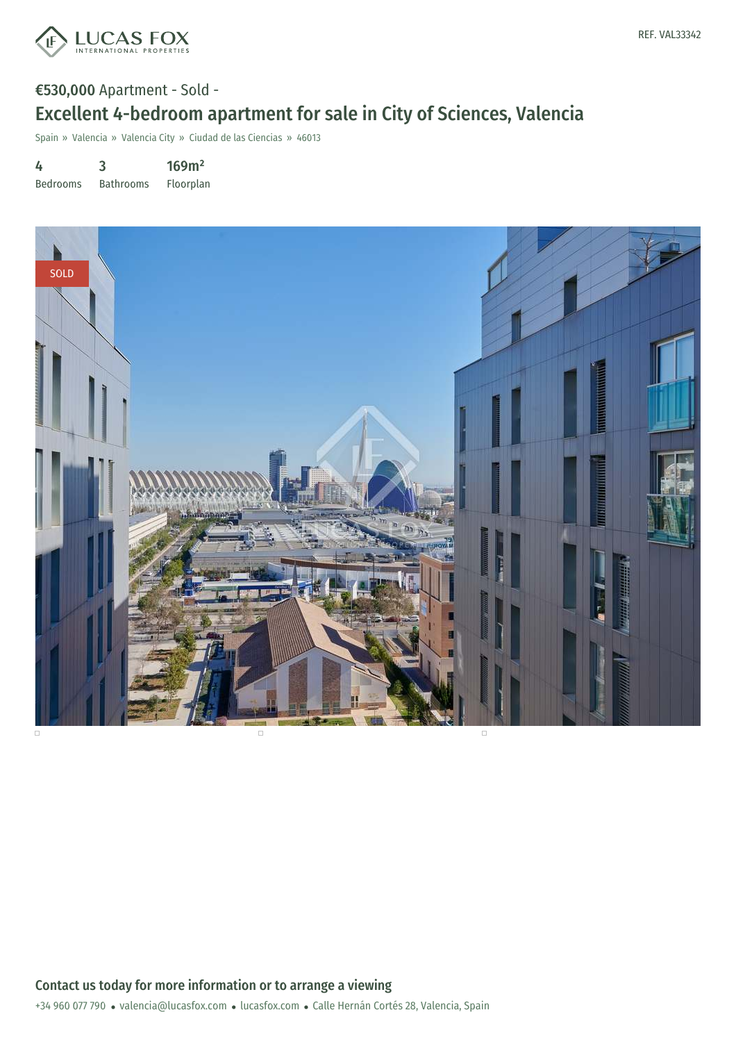

# €530,000 Apartment - Sold - Excellent 4-bedroom apartment for sale in City of Sciences, Valencia

Spain » Valencia » Valencia City » Ciudad de las Ciencias » 46013

4 Bedrooms 3 Bathrooms 169m² Floorplan



+34 960 077 790 · valencia@lucasfox.com · lucasfox.com · Calle Hernán Cortés 28, Valencia, Spain Contact us today for more information or to arrange a viewing